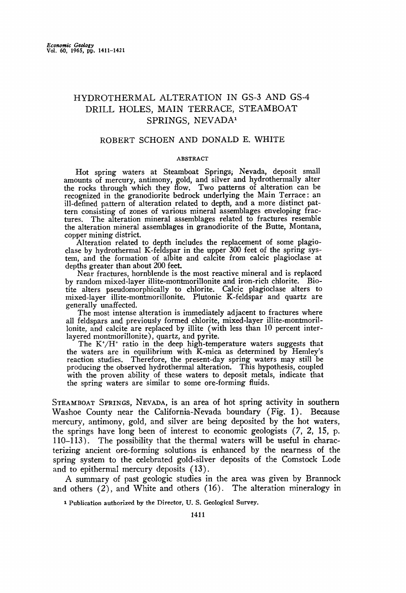# **HYDROTHERMAL ALTERATION IN GS-3 AND GS-4 DRILL HOLES, MAIN TERRACE, STEAMBOAT**  SPRINGS, NEVADA<sup>1</sup>

# **ROBERT SCHOEN AND DONALD E. WHITE**

## **ABSTRACT**

**Hot spring waters at Steamboat Springs; Nevada, deposit small amounts of mercury, antimony, gold, and silver and hydrothermally alter the rocks through which they flow. Two patterns of alteration can be recognized in the granodiorite bedrock underlying the Main Terrace: an ill-defined pattern of alteration related to depth, and a more distinct pattern consisting of zones of various mineral assemblages enveloping frac-**The alteration mineral assemblages related to fractures resemble **the alteration mineral assemblages in granodiorite of the Butte, Montana, copper mining district.** 

**Alteration related to depth includes the replacement of some plagioclase by hydrothermal K-feldspar in the upper 300 feet of the spring system, and the formation of albite and calcite from calcic plagioclase at depths greater than about 200 feet.** 

**Near fractures, hornblende is the most reactive mineral and is replaced by random mixed-layer illite-montmorillonite and iron-rich chlorite. Biotite alters pseudomorphically tochlorite. Calcic plagioclase alters to mixed-layer illite-montmorillonite. Plutonic K-feldspar and quartz are generally unaffected.** 

**The most intense alteration is immediately adjacent to fractures where all feldspars and previously formed chlorite, mixed-layer illite-montmoril**lonite, and calcite are replaced by illite (with less than 10 percent inter**layered montmorillonite), quartz, and pyrite.** 

The K<sup>+</sup>/H<sup>+</sup> ratio in the deep high-temperature waters suggests that **the waters are in equilibrium with K-mica as determined by Hemley's reaction studies. Therefore, the present-day spring waters may still be producing the observed hydrothermal alteration. This hypothesis, coupled with the proven ability of these waters to deposit metals, indicate that the spring waters are similar to some ore-forming fluids.** 

**STEAMBOAT SPRINGS, NEVADA, is an area of hot spring activity in southern Washoe County near the California-Nevada boundary (Fig. 1). Because mercury, antimony, gold, and silver are being deposited by the hot waters, the springs have long been of interest to economic geologists (7, 2, 15, p. 110-113). The possibility that the thermal waters will be useful in characterizing ancient ore-forming solutions is enhanced by the nearness of the spring system to the celebrated gold-silver deposits of the Comstock Lode and to epithermal mercury deposits (13).** 

**A summary of past geologic studies in the area was given by Branno& and others (2), and White and others (16). The alteration mineralogy in** 

**Publication authorized by the Director, U.S. Geological Survey.**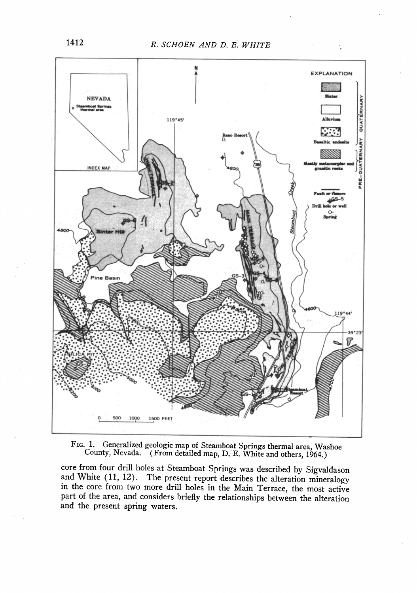÷,



Generalized geologic map of Steamboat Springs thermal area, Washoe FIG. 1. County, Nevada. (From detailed map, D. E. White and others, 1964.)

core from four drill holes at Steamboat Springs was described by Sigvaldason and White (11, 12). The present report describes the alteration mineralogy in the core from two more drill holes in the Main Terrace, the most active part of the area, and considers briefly the relationships between the alteration and the present spring waters.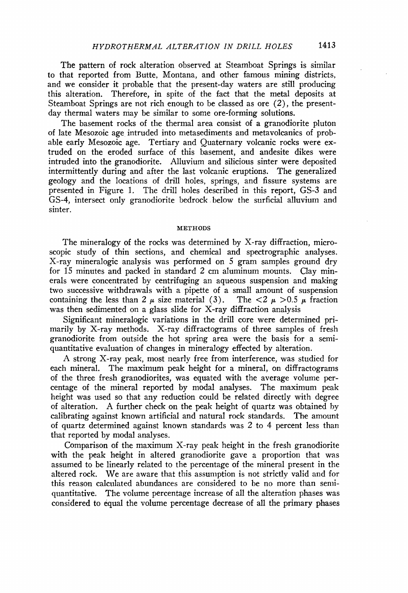**The pattern of rock alteration observed at Steamboat Springs is similar to that reported from Butte, Montana, and other famous mining districts, and we consider it probable that the present-day waters are still producing this alteration. Therefore, in spite of the fact that the metal deposits at Steamboat Springs are not rich enough to be classed as ore (2), the presentday thermal waters may be similar to some ore-forming solutions.** 

**The basement rocks of the thermal area consist of a granodiorite pluton of late Mesozoic age intruded into metasediments and metavolcanics of probable early Mesozoic age. Tertiary and Quaternary volcanic rocks were extruded on the eroded surface of this basement, and andesite dikes were intruded into the granodiorite. Alluvium and silicious sinter were deposited intermittently during and after the last volcanic eruptions. The generalized geology and the locations of drill holes, springs, and fissure systems are presented in Figure 1. The drill holes described in this report, GS-3 and GS-4, intersect only granodiorite bedrock ,below the surficial alluvium and sinter.** 

# **METHODS**

**The mineralogy of the rocks was determined by X-ray diffraction, microscopic study of thin sections, and chemical and spectrographic analyses. X-ray mineralogic analysis was performed on 5 gram samples ground dry for 15 minutes and packed in standard 2 cm aluminum mounts. Clay minerals were concentrated by centrifuging an aqueous suspension and making two successive withdrawals with a pipette of a small amount of suspension**  containing the less than 2  $\mu$  size material (3). The  $\langle 2 \mu \rangle > 0.5 \mu$  fraction **was then sedimented on a glass slide for X-ray diffraction analysis** 

**Significant mineralogic variations in the drill core were determined primarily by X-ray methods. X-ray diffractograms of three samples of fresh granodiorite from outside the hot spring area were the basis for a semiquantitative evaluation of changes in mineralogy effected by alteration.** 

**A strong X-ray peak, most nearly free from interference, was studied for each mineral. The maximum peak height for a mineral, on diffractograms of the three fresh granodiorites, was equated with the average volume percentage of the mineral reported by modal analyses. The maximum peak height was used so that any reduction could be related directly with degree of alteration. A further check on the peak height of quartz was obtained by calibrating against known artificial and natural rock standards. The amount of quartz determined against known standards was 2 to 4 percent less than that reported by modal analyses.** 

**Comparison of the maximum X-ray peak height in the fresh granodiorite with the peak height in altered granodiorite gave a proportion that was assumed to be linearly related to the percentage of the mineral present in the altered rock. We are aware that this assumption is not strictly valid and for this reason calculated abundances are considered to be no more than semiquantitative. The volume percentage increase of all the alteration phases was**  considered to equal the volume percentage decrease of all the primary phases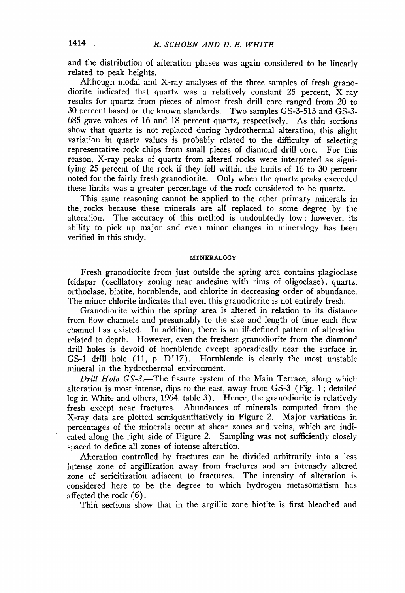**and the distribution of alteration phases was again considered tobe linearly related to peak heights.** 

**Although modal and X-ray analyses of the three samples of fresh granodiorite indicated that quartz was a relatively constant 25 percent, X-ray results for quartz from pieces of almost fresh drill core ranged from 20 to 30 vercent based on the known standards. Two samples GS-3-513 and GS-3- 685 gave values of 16 and 18 percent quartz, respectively. As thin sections show that quartz is not replaced during hydrothermal alteration, this slight variation in quartz values is probably related to the difficulty of selecting representative rock chips from small pieces of diamond drill core. For this reason, X-ray peaks of quartz from altered rocks were interpreted as signifying 25 percent of the rock if they fell within the limits of 16 to 30 percent noted for the fairly fresh granodiorite. Only when the quartz peaks exceeded these limits was a greater percentage of the rock considered to be quartz.** 

**This same reasoning cannot be applied to the other primary minerals in the. rocks because these minerals are all replaced to some degree by the alteration. The accuracy of this method is undoubtedly low; however, its ability to pick up major and even minor changes in mineralogy has been verified in this study.** 

#### **MINERALOGY**

**Fresh granodiorite from just outside the spring area contains plagiodase feldspar (oscillatory zoning near andesine with rims of oligoclase), quartz. orthoclase, biotite, hornblende, and chlorite in decreasing order of abundance. The minor chlorite indicates that even this granodiorite is not entirely fresh.** 

**Granodiorite within the spring area is altered in relation to its distance from flow channels and presumably to the size and length of time each flow channel has existed. In addition, there is an ill-defined pattern of alteration related to depth. However, even the freshest granodiorite from the diamond drill holes is devoid of hornblende except sporadically near the surface in GS-1 drill hole (11, p. Dl17). Hornblende is clearly the most unstable mineral in the hydrothermal environment.** 

**Drill Hole GS-\$.--The fissure system of the Main Terrace, along which alteration is most intense, dips to the east, away from GS-3 (Fig. 1; detailed log in White and others, 1964, table 3). Hence, the granodiorite is relatively fresh except near fractures. Abundances of minerals computed from the X-ray data are plotted semiquantitatively in Figure 2. Major variations in percentages ofthe minerals occur at shear zones and veins, which are indicated along the right side of Figure 2. Sampling was not sufficiently closely spaced to define all zones of intense alteration.** 

**Alteration controlled by fractures can be divided arbitrarily into a less intense zone of argillization away from fractures and an intensely altered zone of sericitization adjacent to fractures. The intensity of alteration is considered here to be the degree to which hydrogen metasomatism has affected the rock (6).** 

**Thin sections show that in the argillic zone biotite is first bleached and**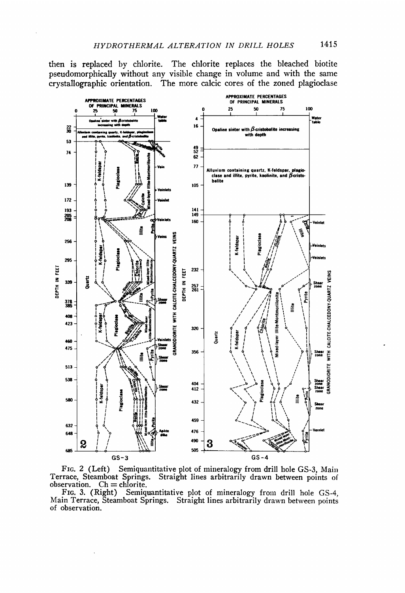then is replaced by chlorite. The chlorite replaces the bleached biotite pseudomorphically without any visible change in volume and with the same crystallographic orientation. The more calcic cores of the zoned plagioclase



FIG. 2 (Left) Semiquantitative plot of mineralogy from drill hole GS-3, Main Terrace, Steamboat Springs. Straight lines arbitrarily drawn between points of observation.  $Ch =$  chlorite.

FIG. 3. (Right) Semiquantitative plot of mineralogy from drill hole GS-4, Main Terrace, Steamboat Springs. Straight lines arbitrarily drawn between points of observation.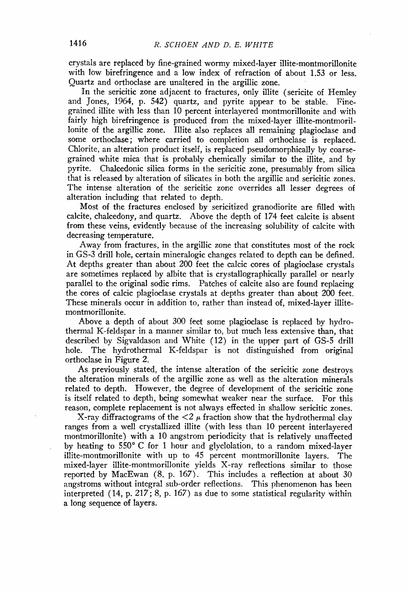**crystals are replaced by fine-grained wormy mixed-layer illite-montmorillonite with low birefringence and a low index of refraction of about 1.53 or less. Quartz and orthoclase are unaltered in the argillic zone.** 

**In the sericitic zone adjacent to fractures, only illite (sericite of Hemley and Jones, 1964, p. 542) quartz, and pyrite appear to be stable. Finegrained illite with less than 10 percent interlayered montmorillonite and with fairly high birefringence is produced from the mixed-layer illite-montmorillonite of the argillic zone. Illite also replaces all remaining plagioclase and some orthoclase; where carried to completion all orthoclase is replaced. Chlorite, an alteration product itself, is replaced pseudomorphically by coarsegrained white mica that is probably chemically similar to the illite, and by pyrite. Chalcedonic silica forms in the sericitic zone, presumably from silica that is released by alteration of silicates in both the argillic and sericitic zones. The intense alteration of the sericitic zone overrides all lesser degrees of alteration including that related to depth.** 

**Most of the fractures enclosed by sericitized granodiorite are filled with calcite, chalcedony, and quartz. Above the depth of 174 feet calcite is absent from these veins, evidently because of the increasing solubility of calcite with decreasing temperature.** 

**Away from fractures, in the argillic zone that constitutes most of the rock**  in GS-3 drill hole, certain mineralogic changes related to depth can be defined. **At depths greater than about 200 feet the calcic cores of plagioclase crystals are sometimes replaced by albite that is crystallographically parallel or nearly parallel to the original sodic rims. Patches of calcite also are found replacing the cores of calcic plagioclase crystals at depths greater than about 200 feet. These minerals occur in addition to, rather than instead of, mixed-layer illitemontmorillonite.** 

**Above a depth of about 300 feet some plagiodase is replaced by hydrothermal K-feldspar in a manner similar to, but much less extensive than, that**  described by Sigvaldason and White (12) in the upper part of GS-5 drill hole. The hydrothermal K-feldspar is not distinguished from original The hydrothermal K-feldspar is not distinguished from original **orthodase in Figure 2.** 

**As previously stated, the intense alteration of the sericitic zone destroys the alteration minerals of the argillic zone as well as the alteration minerals related to depth. However, the degree of development of the sericitic zone is itself related to depth, being somewhat weaker near the surface. For this reason, complete replacement is not always effected in shallow sericitic zones.** 

**X-ray diffractograms of the**  $\langle 2 \mu \rangle$  **fraction show that the hydrothermal clay ranges from a well crystallized illite (with less than 10 percent interlayered montmorillonite) with a 10 angstrom periodicity that is relatively unaffected**  by heating to 550°C for 1 hour and glyclolation, to a random mixed-layer **illite-montmorillonite with up to 45 percent montmorillonite layers. The mixed-layer illite-montmorillonite yields X-ray reflections similar to those reported by MacEwan (8, p. 167). This includes a reflection at about 30**  angstroms without integral sub-order reflections. This phenomenon has been **interpreted (14, p. 217; 8, p. 167) as due to some statistical regularity within a long sequence of layers.**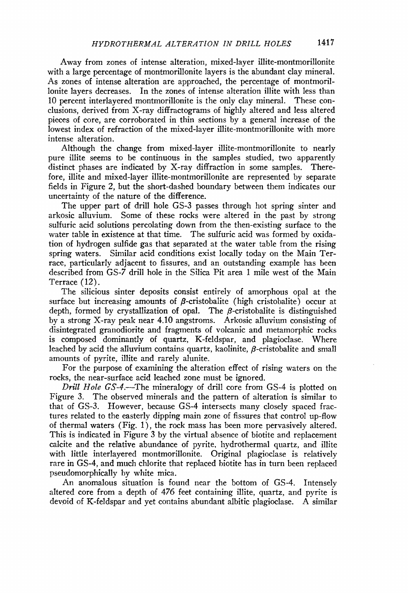**Away from zones of intense alteration, mixed-layer illite-montmorillonite with a large percentage of montmorillonite layers is the abundant clay mineral. As zones of intense alteration are approached, the percentage of montmorillonite layers decreases. In the zones of intense alteration illire with less than 10 percent interlayered montmorillonite is the only clay mineral. These conclusions, derived from X-ray diffractograms of highly altered and less altered pieces of core, are corroborated in thin sections by a general increase of the lowest index of refraction of the mixed-layer illite-montmorillonite with more intense alteration.** 

**Although the change from mixed-layer illite-montmorillonite to nearly pure illire seems to be continuous in the samples studied, two apparently distinct phases are indicated by X-ray diffraction in some samples. Therefore, illite and mixed-layer ilIite-montmorillonite are represented by separate fields in Figure 2, but the short-dashed boundary between them indicates our uncertainty of the nature of the difference.** 

**The upper part of drill hole GS-3 passes through hot spring sinter and arkosic alluvium. Some of these rocks were altered in the past by strong sulfuric acid solutions percolating down from the then-existing surface to the water table in existence at that time. The sulfuric acid was formed by oxidation of hydrogen sulfide gas that separated at the water table from the rising spring waters. Similar acid conditions exist locally today on the Main Terrace, particularly adjacent to fissures, and an outstanding example has been described from GS-7 drill hole in the Silica Pit area I mile west of the Main Terrace (12).** 

**The silicious sinter deposits consist entirely of amorphous opal at the**  surface but increasing amounts of  $\beta$ -cristobalite (high cristobalite) occur at depth, formed by crystallization of opal. The  $\beta$ -cristobalite is distinguished **by a strong X-ray peak near 4.10 angstroms. Arkosic alluvium consisting of disintegrated granodiorite and fragments of volcanic and metamorphic rocks is composed dominantly of quartz, K-feldspar, and plagioclase. Where**  leached by acid the alluvium contains quartz, kaolinite,  $\beta$ -cristobalite and small **amounts of pyrite, illire and rarely alunite.** 

**For the purpose of examining the alteration effect of rising waters on the rocks, the near-surface acid leached zone must be ignored.** 

**Drill Hole GS-4.--The mineralogy of drill core from GS-4 is plotted on Figure 3. The observed minerals and the pattern of alteration is similar to that of GS-3. However, because GS-4 intersects many closely spaced fractures related to the easterly dipping main zone of fissures that control up-flow of thermal waters (Fig. 1), the rock mass has been more pervasively altered. This is indicated in Figure 3 by the virtual absence of biotite and replacement calcite and the relative abundance of pyrite, hydrothermal quartz, and illite with little interlayered montmorillonite. Original plagioclase is relatively rare in GS-4, and much chlorite that replaced biotite has in turn been replaced pseudomorphically by white mica.** 

**An anomalous situation is found near the bottom of GS-4. Intensely altered core from a depth of 476 feet containing illite, quartz, and pyrite is devoid of K-feldspar and yet contains abundant albitic plagioclase. A similar**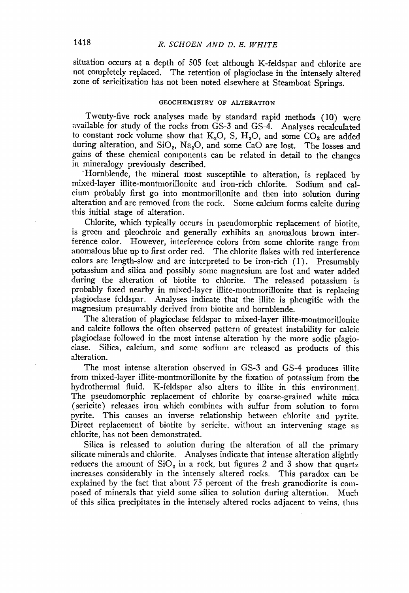**situation occurs at a depth of 505 feet although K-feldspar and chlorite are not completely replaced. The retention of plagioclase in the intensely altered zone of sericitization has not been noted elsewhere at Steamboat Springs.** 

# **GEOCHEMISTRY OF ALTERATION**

**Twenty-five rock analyses made by standard rapid methods (10) were available for study of the rocks from GS-3 and GS-4. Analyses recalculated**  to constant rock volume show that  $K_2O$ , S,  $H_2O$ , and some  $CO_2$  are added during alteration, and SiO<sub>2</sub>, Na<sub>2</sub>O, and some CaO are lost. The losses and **gains of these chemical components can be related in detail to the changes in mineralogy previously described.** 

**'Hornblende, the mineral most susceptible to alteration, is replaced by mixed-layer illite-montmorillonite and iron-rich chlorite. Sodium and calcium probably first go into montmorillonite and then into solution during alteration and are removed from the rock. Some calcium forms calcite during this initial stage of alteration.** 

**Chlorite, which typically occurs in pseudomorphic replacement of biotite, is green and pleochroic and generally exhibits an anomalous brown interference color. However, interference colors from some chlorite range from anomalous blue up to first order red. The chlorite flakes with red interference colors are length-slow and are interpreted to be iron-rich (1). Presumably potassium and silica and possibly some magnesium are lost and water added during the alteration of biotite to chlorite. The released potassium is probably fixed nearby in mixed-layer illite-montrnorillonite that is replacing plagioclase feldspar. Analyses indicate that the illite is phengitic with the magnesium presumably derived from biotite and hornblende.** 

**The alteration of plagioclase feldspar to mixed-layer illite-montmorillonite and calcite follows the often observed pattern of greatest instability for calcic plagioclase followed in the most intense alteration by the more sodic plagioclase. Silica, calcium, and some sodium are released as products of this alteration.** 

**The most intense alteration observed in GS-3 and GS-4 produces illire from mixed-layer illite-montmorillonite by the fixation of potassium from the hydrothermal fluid. K-feldspar also alters to illire in this environment. The pseudomorphic replacement of chlorite by coarse-grained white mica (sericite) releases iron which combines with sulfur from solution to form pyrite. This causes an inverse relationship between chlorite and pyrite. Direct replacement of biotite by sericite, without an intervening stage as chlorite, has not been demonstrated.** 

**Silica is released to solution during the alteration of all the primary silicate minerals and chlorite. Analyses indicate that intense alteration slightly**  reduces the amount of  $SiO<sub>2</sub>$  in a rock, but figures 2 and 3 show that quartz **increases considerably in the intensely altered rocks. This paradox can be explained by the fact that about 75 percent of the fresh granodiorite is composed of minerals that yield some silica to solution during alteration. Much of this silica precipitates in the intensely altered rocks adjacent to veins, thus**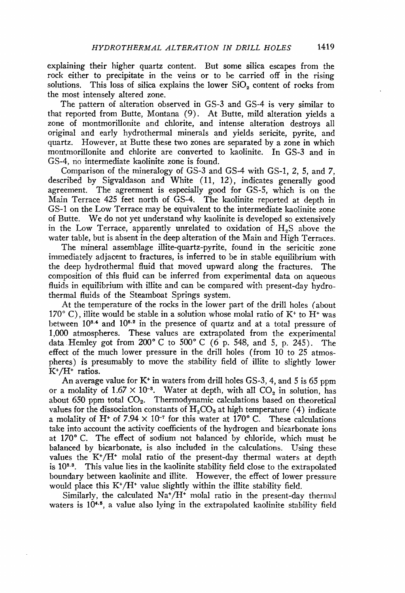**explaining their higher quartz content. But some silica escapes from the rock either to precipitate in the veins or to be carried off in the rising**  solutions. This loss of silica explains the lower SiO<sub>2</sub> content of rocks from **the most intensely altered zone.** 

**The pattern of alteration observed in GS-3 and GS-4 is very similar to that reported from Butte, Montana (9). At Butte, mild alteration yields a zone of montmorillonite and chlorite, and intense alteration destroys all original and early hydrothermal minerals and yields sericite, pyrite, and quartz. However, at Butte these two zones are separated by a zone in which montmorillonite and chlorite are converted to kaolinite. In GS-3 and in GS-4, no intermediate kaolinite zone is found.** 

**Comparison of the mineralogy of GS-3 and GS-4 with GS-1, 2, 5, and 7, described by Sigvaldason and White (11, 12), indicates generally good**  The agreement is especially good for GS-5, which is on the **Main Terrace 425 feet north of GS-4. The kaolinite reported at depth in**  GS-1 on the Low Terrace may be equivalent to the intermediate kaolinite zone **of Butte. We do not yet understand why kaolinite is developed so extensively**  in the Low Terrace, apparently unrelated to oxidation of H<sub>a</sub>S above the **water table, but is absent in the deep alteration of the Main and High Terraces.** 

**The mineral assemblage illite-quartz-pyrite, found in the sericitic zone**  immediately adjacent to fractures, is inferred to be in stable equilibrium with **the deep hydrothermal fluid that moved upward along the fractures. The composition of this fluid can be inferred from experimental data on aqueous fluids in equilibrium with illite and can be compared with present-day hydrothermal fluids of the Steamboat Springs system.** 

**At the temperature of the rocks in the lower part of the drill holes (about**   $170^{\circ}$  C), illite would be stable in a solution whose molal ratio of  $K^+$  to  $H^+$  was between  $10^{8.4}$  and  $10^{8.2}$  in the presence of quartz and at a total pressure of **1,000 atmospheres. These values are extrapolated from the experimental**  data Hemley got from 200°C to 500°C (6 p. 548, and 5, p. 245). The **effect of the much lower pressure in the drill holes (from 10 to 25 atmospheres) is presumably to move the stability field of illite to slightly lower K\*/H\* ratios.** 

**An average value for K\* in waters from drill holes GS-3, 4, and 5 is 65 ppm**  or a molality of  $1.67 \times 10^{-8}$ . Water at depth, with all  $CO<sub>2</sub>$  in solution, has about 650 ppm total CO<sub>2</sub>. Thermodynamic calculations based on theoretical values for the dissociation constants of  $H_2CO_3$  at high temperature (4) indicate a molality of H<sup>+</sup> of  $7.94 \times 10^{-7}$  for this water at 170° C. These calculations take into account the activity coefficients of the hydrogen and bicarbonate ions **at 170 ø C. The effect of sodium not balanced by chloride, which must be balanced by bicarbonate, is also included in the calculations. Using these values the K\*/H\* molal ratio of the present-day thermal waters at depth**  is 10<sup>8.8</sup>. This value lies in the kaolinite stability field close to the extrapolated **boundary between kaolinite and illite. However, the effect of lower pressm'e would place this K+/H" value slightly within the illite stability field.** 

Similarly, the calculated Na<sup>+</sup>/H<sup>+</sup> molal ratio in the present-day thermal waters is 10<sup>4.5</sup>, a value also lying in the extrapolated kaolinite stability field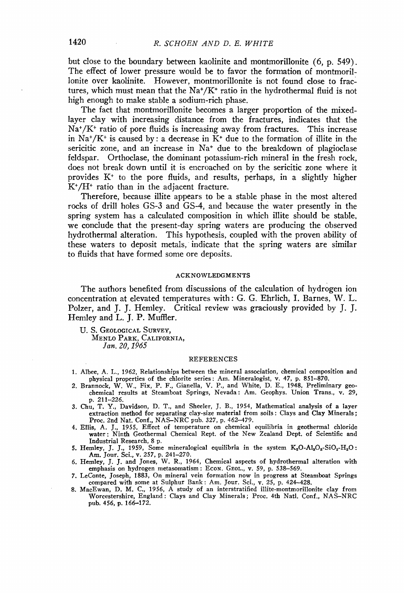**but close to the boundary between kaolinite and montmorillonite (6, p. 549). The effect of lower pressure would be to favor the formation of montmorillonite over kaolinite. However, montmorillonite is not found close to frac**tures, which must mean that the Na<sup>+</sup>/K<sup>+</sup> ratio in the hydrothermal fluid is not **high enough to make stable a sodium-rich phase.** 

The fact that montmorillonite becomes a larger proportion of the mixed**layer clay with increasing distance from the fractures, indicates that the**  Na<sup>+</sup>/K<sup>+</sup> ratio of pore fluids is increasing away from fractures. This increase in Na<sup>+</sup>/K<sup>+</sup> is caused by: a decrease in  $\bar{K}$ <sup>+</sup> due to the formation of illite in the sericitic zone, and an increase in Na<sup>+</sup> due to the breakdown of plagioclase **feldspar. Orthoclase, the dominant potassium-rich mineral in the fresh rock, does not break down until it is encroached on by the sericitic zone where it**  provides K<sup>+</sup> to the pore fluids, and results, perhaps, in a slightly higher  $K^*/H^*$  ratio than in the adjacent fracture.

**Therefore, because illite appears to be a stable phase in the most altered rocks of drill holes GS-3 and GS-4, and because the water presently in the spring system has a calculated composition in which illite should be stable, we conclude that the present-day spring waters are producing the observed hydrothermal alteration. This hypothesis, coupled with the proven ability of these waters to deposit metals,' indicate that the spring waters are similar to fluids that have formed some ore deposits.** 

## **ACKNOWLEDGMENTS**

The authors benefited from discussions of the calculation of hydrogen ion **concentration at elevated temperatures with: G. G. Ehrlich, I. Barnes, W. L. Polzer, and J. J. Hemley. Critical review was graciously provided by ]. ]. Hemley and L. J. P. Muffler.** 

**U.S. GEOLOGICAL SURVEY, MENLO PARK, CALIFORNIA, Jan. 20, 1965** 

## **REFERENCES**

- **1. Albee, A. L., 1962, Relationships between the mineral association, chemical composition and physical properties of the chlorite series: Am. Mineralogist, v. 47, p. 851-870.**
- **2. Brannock, W. W., Fix, P. F., Gianella, V. P., and White, D. E., 1948, Preliminary geochemical results at Steamboat Springs, Nevada: Am. Geophys. Union Trans., v. 29, p. 211-226.**
- **3. Chu, T. Y., Davidson, D. T., and Sheeler, J. B., 1954, Mathematical analysis of a layer extraction method for separating clay-size material from soils: Clays and Clay Minerals;**
- Proc. 2nd Nat. Conf., NAS-NRC pub. 327, p. 462-479.<br>4. Ellis, A. J., 1955, Effect of temperature on chemical equilibria in geothermal chloride<br>water: Ninth Geothermal Chemical Rept. of the New Zealand Dept. of Scientific a **Industrial Research, 8 p.**
- **5. Hemley, J. J., 1959, Some mineralogical equilibria in the system**  $K_2O-Al_2O_3-SiO_2-H_2O$ **:** Am. Jour. Sci., v. 257, p. 241–270.
- **6. Hemley, J. J. and Jones, W. R., 1964, Chemical aspects of hydrothermal alteration with**  emphasis on hydrogen metasomatism: ECON. GEOL., v. 59, p. 538-569.
- **7. LeConte, Joseph, 1883, On mineral vein formation now in progress at Steamboat Springs compared with some at Sulphur Bank: Am. Jour. Sci., v. 25, p. 424--428.**
- **8. MacEwan, D. M. C., 1956, A study of an interstratified illite-montmorillonite clay from Worcestershire, England: Clays and Clay Minerals; Proc. 4th Natl. Conf., NAS-NRC pub. 456, p. 166-172.**